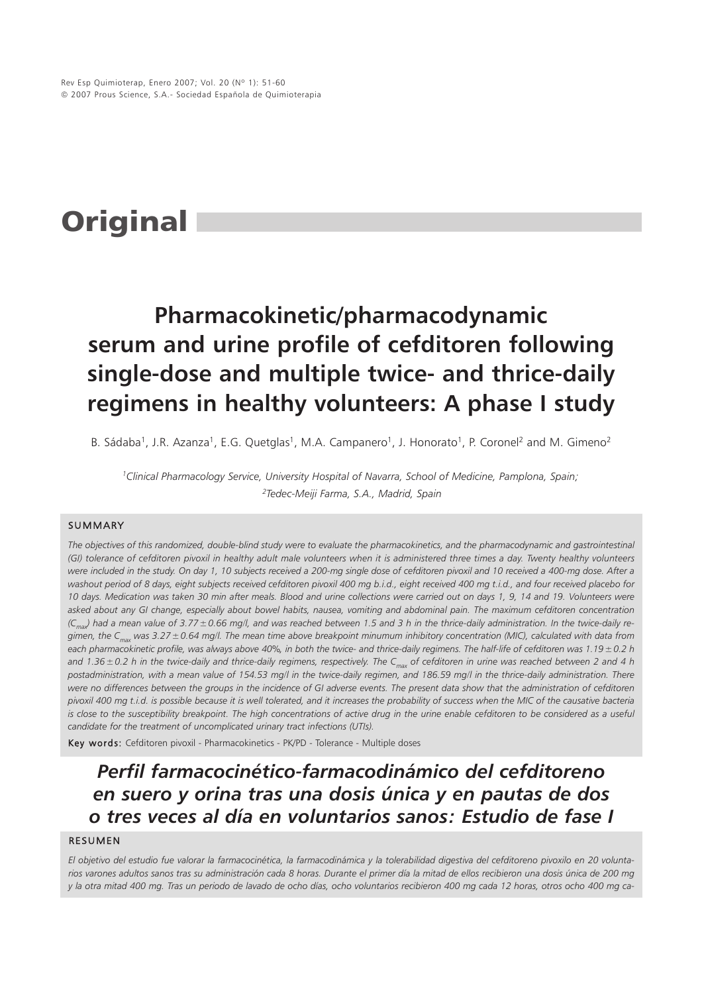# **Original**

## **Pharmacokinetic/pharmacodynamic serum and urine profile of cefditoren following single-dose and multiple twice- and thrice-daily regimens in healthy volunteers: A phase I study**

B. Sádaba<sup>1</sup>, J.R. Azanza<sup>1</sup>, E.G. Quetglas<sup>1</sup>, M.A. Campanero<sup>1</sup>, J. Honorato<sup>1</sup>, P. Coronel<sup>2</sup> and M. Gimeno<sup>2</sup>

*1Clinical Pharmacology Service, University Hospital of Navarra, School of Medicine, Pamplona, Spain; 2Tedec-Meiji Farma, S.A., Madrid, Spain*

#### SUMMARY

*The objectives of this randomized, double-blind study were to evaluate the pharmacokinetics, and the pharmacodynamic and gastrointestinal (GI) tolerance of cefditoren pivoxil in healthy adult male volunteers when it is administered three times a day. Twenty healthy volunteers were included in the study. On day 1, 10 subjects received a 200-mg single dose of cefditoren pivoxil and 10 received a 400-mg dose. After a washout period of 8 days, eight subjects received cefditoren pivoxil 400 mg b.i.d., eight received 400 mg t.i.d., and four received placebo for 10 days. Medication was taken 30 min after meals. Blood and urine collections were carried out on days 1, 9, 14 and 19. Volunteers were asked about any GI change, especially about bowel habits, nausea, vomiting and abdominal pain. The maximum cefditoren concentration*  $(C_{\text{max}})$  had a mean value of 3.77 ± 0.66 mg/l, and was reached between 1.5 and 3 h in the thrice-daily administration. In the twice-daily re*gimen, the Cmax was 3.27±0.64 mg/l. The mean time above breakpoint minumum inhibitory concentration (MIC), calculated with data from each pharmacokinetic profile, was always above 40%, in both the twice- and thrice-daily regimens. The half-life of cefditoren was 1.19±0.2 h and 1.36±0.2 h in the twice-daily and thrice-daily regimens, respectively. The Cmax of cefditoren in urine was reached between 2 and 4 h postadministration, with a mean value of 154.53 mg/l in the twice-daily regimen, and 186.59 mg/l in the thrice-daily administration. There were no differences between the groups in the incidence of GI adverse events. The present data show that the administration of cefditoren pivoxil 400 mg t.i.d. is possible because it is well tolerated, and it increases the probability of success when the MIC of the causative bacteria is close to the susceptibility breakpoint. The high concentrations of active drug in the urine enable cefditoren to be considered as a useful candidate for the treatment of uncomplicated urinary tract infections (UTIs).*

Key words: Cefditoren pivoxil - Pharmacokinetics - PK/PD - Tolerance - Multiple doses

### *Perfil farmacocinético-farmacodinámico del cefditoreno en suero y orina tras una dosis única y en pautas de dos o tres veces al día en voluntarios sanos: Estudio de fase I*

#### RESUMEN

*El objetivo del estudio fue valorar la farmacocinética, la farmacodinámica y la tolerabilidad digestiva del cefditoreno pivoxilo en 20 voluntarios varones adultos sanos tras su administración cada 8 horas. Durante el primer día la mitad de ellos recibieron una dosis única de 200 mg y la otra mitad 400 mg. Tras un periodo de lavado de ocho días, ocho voluntarios recibieron 400 mg cada 12 horas, otros ocho 400 mg ca-*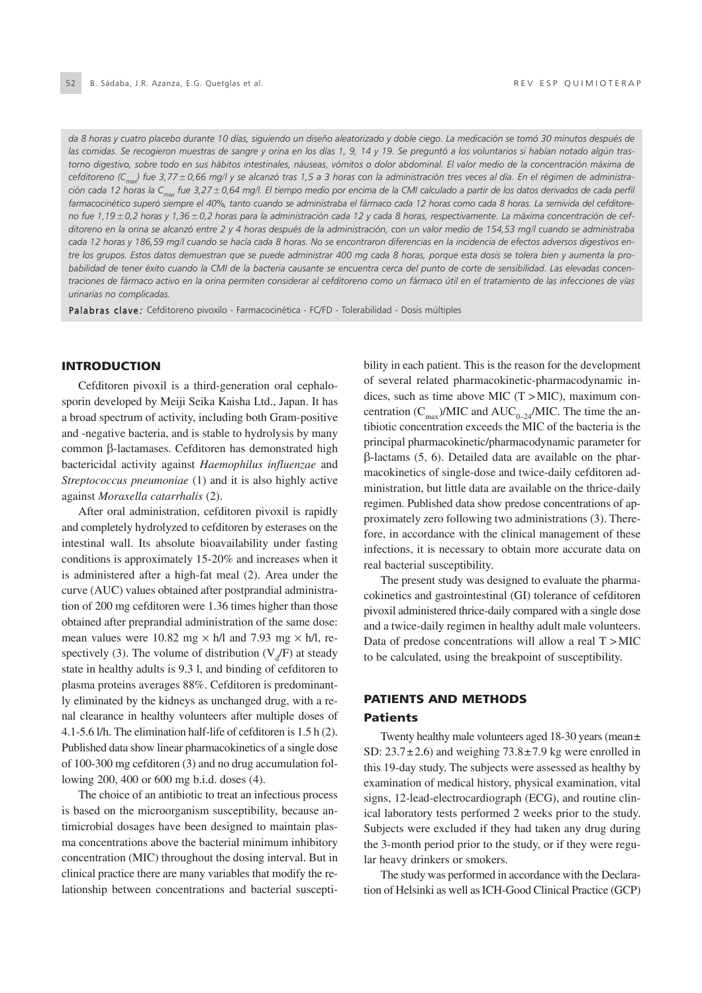*da 8 horas y cuatro placebo durante 10 días, siguiendo un diseño aleatorizado y doble ciego. La medicación se tomó 30 minutos después de las comidas. Se recogieron muestras de sangre y orina en los días 1, 9, 14 y 19. Se preguntó a los voluntarios si habían notado algún trastorno digestivo, sobre todo en sus hábitos intestinales, náuseas, vómitos o dolor abdominal. El valor medio de la concentración máxima de cefditoreno (Cmax) fue 3,77±0,66 mg/l y se alcanzó tras 1,5 a 3 horas con la administración tres veces al día. En el régimen de administración cada 12 horas la Cmax fue 3,27±0,64 mg/l. El tiempo medio por encima de la CMI calculado a partir de los datos derivados de cada perfil farmacocinético superó siempre el 40%, tanto cuando se administraba el fármaco cada 12 horas como cada 8 horas. La semivida del cefditoreno fue 1,19±0,2 horas y 1,36±0,2 horas para la administración cada 12 y cada 8 horas, respectivamente. La máxima concentración de cefditoreno en la orina se alcanzó entre 2 y 4 horas después de la administración, con un valor medio de 154,53 mg/l cuando se administraba cada 12 horas y 186,59 mg/l cuando se hacía cada 8 horas. No se encontraron diferencias en la incidencia de efectos adversos digestivos entre los grupos. Estos datos demuestran que se puede administrar 400 mg cada 8 horas, porque esta dosis se tolera bien y aumenta la probabilidad de tener éxito cuando la CMI de la bacteria causante se encuentra cerca del punto de corte de sensibilidad. Las elevadas concentraciones de fármaco activo en la orina permiten considerar al cefditoreno como un fármaco útil en el tratamiento de las infecciones de vías urinarias no complicadas.*

Palabras clave: Cefditoreno pivoxilo - Farmacocinética - FC/FD - Tolerabilidad - Dosis múltiples

#### **INTRODUCTION**

Cefditoren pivoxil is a third-generation oral cephalosporin developed by Meiji Seika Kaisha Ltd., Japan. It has a broad spectrum of activity, including both Gram-positive and -negative bacteria, and is stable to hydrolysis by many common β-lactamases. Cefditoren has demonstrated high bactericidal activity against *Haemophilus influenzae* and *Streptococcus pneumoniae* (1) and it is also highly active against *Moraxella catarrhalis* (2).

After oral administration, cefditoren pivoxil is rapidly and completely hydrolyzed to cefditoren by esterases on the intestinal wall. Its absolute bioavailability under fasting conditions is approximately 15-20% and increases when it is administered after a high-fat meal (2). Area under the curve (AUC) values obtained after postprandial administration of 200 mg cefditoren were 1.36 times higher than those obtained after preprandial administration of the same dose: mean values were 10.82 mg  $\times$  h/l and 7.93 mg  $\times$  h/l, respectively (3). The volume of distribution ( $V_d$ F) at steady state in healthy adults is 9.3 l, and binding of cefditoren to plasma proteins averages 88%. Cefditoren is predominantly eliminated by the kidneys as unchanged drug, with a renal clearance in healthy volunteers after multiple doses of 4.1-5.6 l/h. The elimination half-life of cefditoren is 1.5 h (2). Published data show linear pharmacokinetics of a single dose of 100-300 mg cefditoren (3) and no drug accumulation following 200, 400 or 600 mg b.i.d. doses (4).

The choice of an antibiotic to treat an infectious process is based on the microorganism susceptibility, because antimicrobial dosages have been designed to maintain plasma concentrations above the bacterial minimum inhibitory concentration (MIC) throughout the dosing interval. But in clinical practice there are many variables that modify the relationship between concentrations and bacterial susceptibility in each patient. This is the reason for the development of several related pharmacokinetic-pharmacodynamic indices, such as time above MIC  $(T > MIC)$ , maximum concentration  $(C_{\text{max}})/\text{MIC}$  and  $\text{AUC}_{0-24}/\text{MIC}$ . The time the antibiotic concentration exceeds the MIC of the bacteria is the principal pharmacokinetic/pharmacodynamic parameter for β-lactams (5, 6). Detailed data are available on the pharmacokinetics of single-dose and twice-daily cefditoren administration, but little data are available on the thrice-daily regimen. Published data show predose concentrations of approximately zero following two administrations (3). Therefore, in accordance with the clinical management of these infections, it is necessary to obtain more accurate data on real bacterial susceptibility.

The present study was designed to evaluate the pharmacokinetics and gastrointestinal (GI) tolerance of cefditoren pivoxil administered thrice-daily compared with a single dose and a twice-daily regimen in healthy adult male volunteers. Data of predose concentrations will allow a real T > MIC to be calculated, using the breakpoint of susceptibility.

#### PATIENTS AND METHODS Patients

Twenty healthy male volunteers aged 18-30 years (mean± SD:  $23.7 \pm 2.6$ ) and weighing  $73.8 \pm 7.9$  kg were enrolled in this 19-day study. The subjects were assessed as healthy by examination of medical history, physical examination, vital signs, 12-lead-electrocardiograph (ECG), and routine clinical laboratory tests performed 2 weeks prior to the study. Subjects were excluded if they had taken any drug during the 3-month period prior to the study, or if they were regular heavy drinkers or smokers.

The study was performed in accordance with the Declaration of Helsinki as well as ICH-Good Clinical Practice (GCP)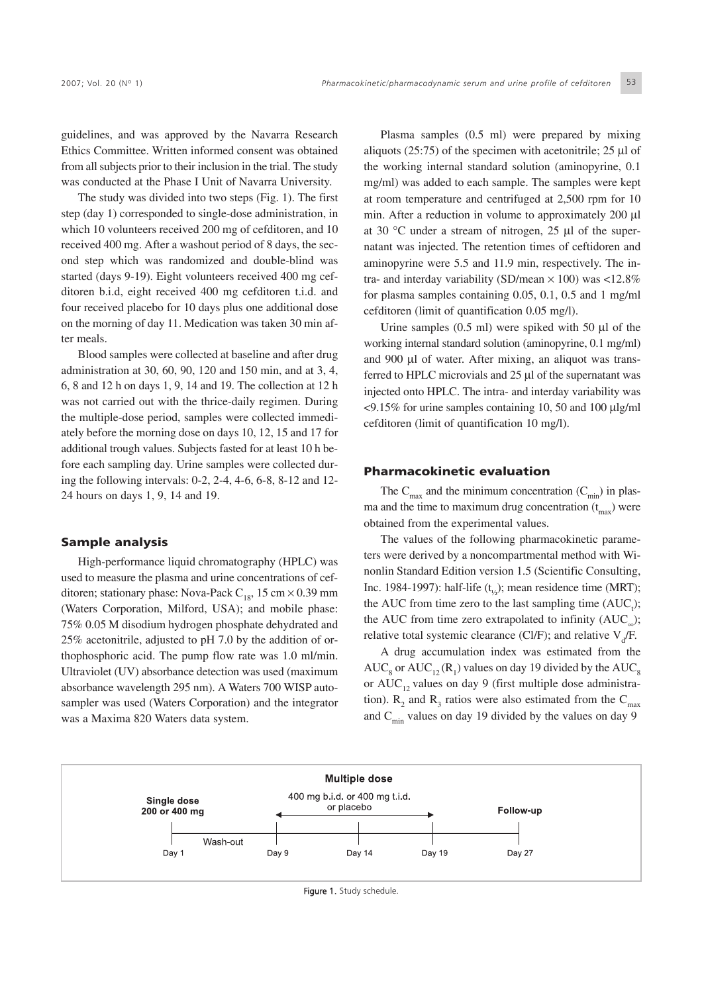guidelines, and was approved by the Navarra Research Ethics Committee. Written informed consent was obtained from all subjects prior to their inclusion in the trial. The study was conducted at the Phase I Unit of Navarra University.

The study was divided into two steps (Fig. 1). The first step (day 1) corresponded to single-dose administration, in which 10 volunteers received 200 mg of cefditoren, and 10 received 400 mg. After a washout period of 8 days, the second step which was randomized and double-blind was started (days 9-19). Eight volunteers received 400 mg cefditoren b.i.d, eight received 400 mg cefditoren t.i.d. and four received placebo for 10 days plus one additional dose on the morning of day 11. Medication was taken 30 min after meals.

Blood samples were collected at baseline and after drug administration at 30, 60, 90, 120 and 150 min, and at 3, 4, 6, 8 and 12 h on days 1, 9, 14 and 19. The collection at 12 h was not carried out with the thrice-daily regimen. During the multiple-dose period, samples were collected immediately before the morning dose on days 10, 12, 15 and 17 for additional trough values. Subjects fasted for at least 10 h before each sampling day. Urine samples were collected during the following intervals: 0-2, 2-4, 4-6, 6-8, 8-12 and 12- 24 hours on days 1, 9, 14 and 19.

#### Sample analysis

High-performance liquid chromatography (HPLC) was used to measure the plasma and urine concentrations of cefditoren; stationary phase: Nova-Pack  $C_{18}$ , 15 cm  $\times$  0.39 mm (Waters Corporation, Milford, USA); and mobile phase: 75% 0.05 M disodium hydrogen phosphate dehydrated and 25% acetonitrile, adjusted to pH 7.0 by the addition of orthophosphoric acid. The pump flow rate was 1.0 ml/min. Ultraviolet (UV) absorbance detection was used (maximum absorbance wavelength 295 nm). A Waters 700 WISP autosampler was used (Waters Corporation) and the integrator was a Maxima 820 Waters data system.

Plasma samples (0.5 ml) were prepared by mixing aliquots  $(25:75)$  of the specimen with acetonitrile; 25 µl of the working internal standard solution (aminopyrine, 0.1 mg/ml) was added to each sample. The samples were kept at room temperature and centrifuged at 2,500 rpm for 10 min. After a reduction in volume to approximately 200 µl at 30 °C under a stream of nitrogen, 25 µl of the supernatant was injected. The retention times of ceftidoren and aminopyrine were 5.5 and 11.9 min, respectively. The intra- and interday variability (SD/mean  $\times$  100) was <12.8% for plasma samples containing 0.05, 0.1, 0.5 and 1 mg/ml cefditoren (limit of quantification 0.05 mg/l).

Urine samples  $(0.5 \text{ ml})$  were spiked with 50  $\mu$ l of the working internal standard solution (aminopyrine, 0.1 mg/ml) and 900 µl of water. After mixing, an aliquot was transferred to HPLC microvials and 25 µl of the supernatant was injected onto HPLC. The intra- and interday variability was  $\langle 9.15\%$  for urine samples containing 10, 50 and 100  $\mu$ lg/ml cefditoren (limit of quantification 10 mg/l).

#### Pharmacokinetic evaluation

The  $C_{\text{max}}$  and the minimum concentration  $(C_{\text{min}})$  in plasma and the time to maximum drug concentration  $(t_{\text{max}})$  were obtained from the experimental values.

The values of the following pharmacokinetic parameters were derived by a noncompartmental method with Winonlin Standard Edition version 1.5 (Scientific Consulting, Inc. 1984-1997): half-life  $(t<sub>i</sub>)$ ; mean residence time (MRT); the AUC from time zero to the last sampling time  $(AUC_t)$ ; the AUC from time zero extrapolated to infinity  $(AUC_{\n\dots})$ ; relative total systemic clearance (Cl/F); and relative  $V_d$ /F.

A drug accumulation index was estimated from the  $AUC<sub>8</sub>$  or  $AUC<sub>12</sub>(R<sub>1</sub>)$  values on day 19 divided by the  $AUC<sub>8</sub>$ or  $AUC_{12}$  values on day 9 (first multiple dose administration).  $R_2$  and  $R_3$  ratios were also estimated from the  $C_{\text{max}}$ and  $C_{\text{min}}$  values on day 19 divided by the values on day 9



Figure 1. Study schedule.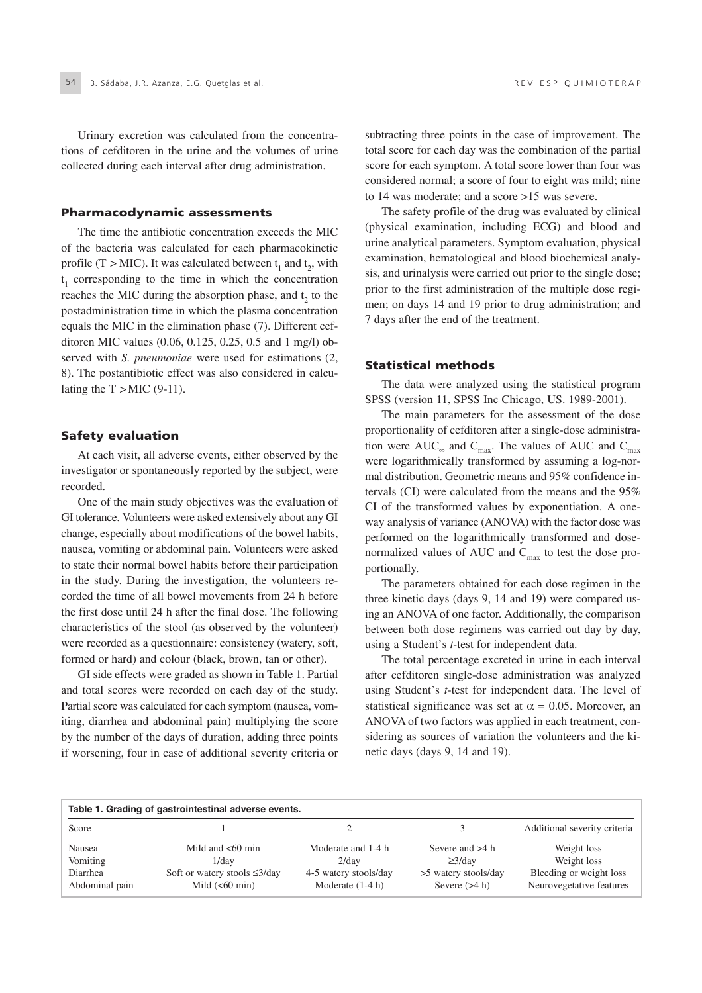Urinary excretion was calculated from the concentrations of cefditoren in the urine and the volumes of urine collected during each interval after drug administration.

#### Pharmacodynamic assessments

The time the antibiotic concentration exceeds the MIC of the bacteria was calculated for each pharmacokinetic profile (T > MIC). It was calculated between  $t_1$  and  $t_2$ , with t <sup>1</sup> corresponding to the time in which the concentration reaches the MIC during the absorption phase, and  $t<sub>2</sub>$  to the postadministration time in which the plasma concentration equals the MIC in the elimination phase (7). Different cefditoren MIC values (0.06, 0.125, 0.25, 0.5 and 1 mg/l) observed with *S. pneumoniae* were used for estimations (2, 8). The postantibiotic effect was also considered in calculating the  $T > MIC$  (9-11).

#### Safety evaluation

At each visit, all adverse events, either observed by the investigator or spontaneously reported by the subject, were recorded.

One of the main study objectives was the evaluation of GI tolerance. Volunteers were asked extensively about any GI change, especially about modifications of the bowel habits, nausea, vomiting or abdominal pain. Volunteers were asked to state their normal bowel habits before their participation in the study. During the investigation, the volunteers recorded the time of all bowel movements from 24 h before the first dose until 24 h after the final dose. The following characteristics of the stool (as observed by the volunteer) were recorded as a questionnaire: consistency (watery, soft, formed or hard) and colour (black, brown, tan or other).

GI side effects were graded as shown in Table 1. Partial and total scores were recorded on each day of the study. Partial score was calculated for each symptom (nausea, vomiting, diarrhea and abdominal pain) multiplying the score by the number of the days of duration, adding three points if worsening, four in case of additional severity criteria or subtracting three points in the case of improvement. The total score for each day was the combination of the partial score for each symptom. A total score lower than four was considered normal; a score of four to eight was mild; nine to 14 was moderate; and a score >15 was severe.

The safety profile of the drug was evaluated by clinical (physical examination, including ECG) and blood and urine analytical parameters. Symptom evaluation, physical examination, hematological and blood biochemical analysis, and urinalysis were carried out prior to the single dose; prior to the first administration of the multiple dose regimen; on days 14 and 19 prior to drug administration; and 7 days after the end of the treatment.

#### Statistical methods

The data were analyzed using the statistical program SPSS (version 11, SPSS Inc Chicago, US. 1989-2001).

The main parameters for the assessment of the dose proportionality of cefditoren after a single-dose administration were AUC<sub>∞</sub> and C<sub>max</sub>. The values of AUC and C<sub>max</sub> were logarithmically transformed by assuming a log-normal distribution. Geometric means and 95% confidence intervals (CI) were calculated from the means and the 95% CI of the transformed values by exponentiation. A oneway analysis of variance (ANOVA) with the factor dose was performed on the logarithmically transformed and dosenormalized values of AUC and  $C_{\text{max}}$  to test the dose proportionally.

The parameters obtained for each dose regimen in the three kinetic days (days 9, 14 and 19) were compared using an ANOVA of one factor. Additionally, the comparison between both dose regimens was carried out day by day, using a Student's *t*-test for independent data.

The total percentage excreted in urine in each interval after cefditoren single-dose administration was analyzed using Student's *t*-test for independent data. The level of statistical significance was set at  $\alpha = 0.05$ . Moreover, an ANOVA of two factors was applied in each treatment, considering as sources of variation the volunteers and the kinetic days (days 9, 14 and 19).

| Table 1. Grading of gastrointestinal adverse events. |                                                          |                                             |                                         |                                                     |  |
|------------------------------------------------------|----------------------------------------------------------|---------------------------------------------|-----------------------------------------|-----------------------------------------------------|--|
| Score                                                |                                                          |                                             |                                         | Additional severity criteria                        |  |
| Nausea                                               | Mild and $< 60$ min                                      | Moderate and 1-4 h                          | Severe and $>4$ h                       | Weight loss                                         |  |
| <b>Vomiting</b>                                      | $1$ /dav                                                 | $2$ /dav                                    | $\geq$ 3/dav                            | Weight loss                                         |  |
| Diarrhea<br>Abdominal pain                           | Soft or watery stools $\leq 3$ /day<br>Mild $(< 60$ min) | 4-5 watery stools/day<br>Moderate $(1-4 h)$ | >5 watery stools/day<br>Severe $(>4 h)$ | Bleeding or weight loss<br>Neurovegetative features |  |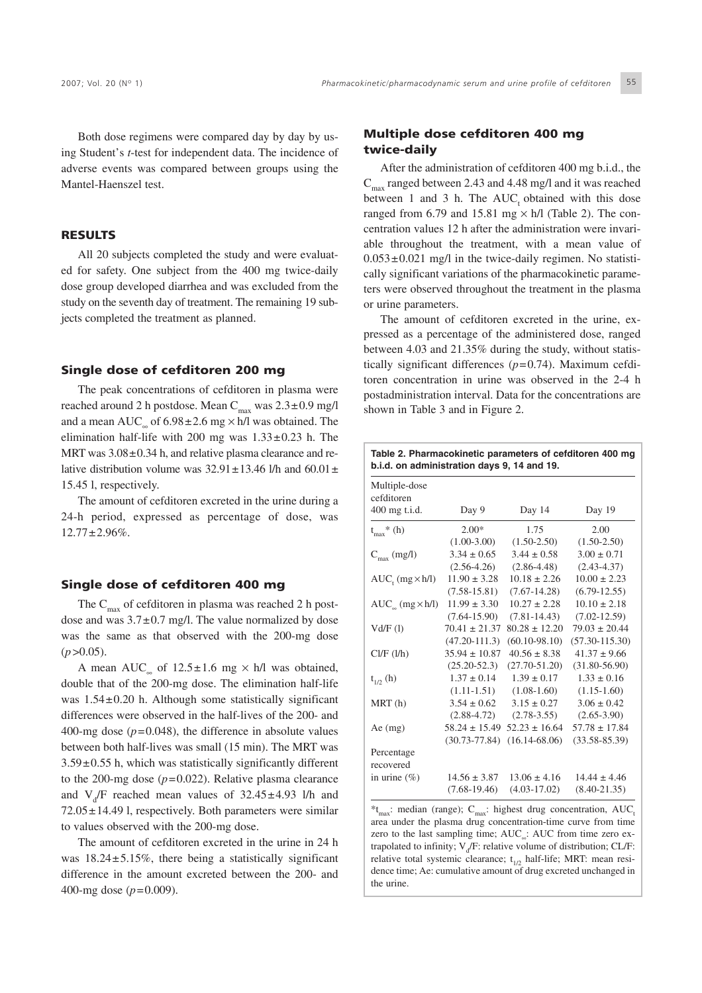Both dose regimens were compared day by day by using Student's *t*-test for independent data. The incidence of adverse events was compared between groups using the Mantel-Haenszel test.

#### RESULTS

All 20 subjects completed the study and were evaluated for safety. One subject from the 400 mg twice-daily dose group developed diarrhea and was excluded from the study on the seventh day of treatment. The remaining 19 subjects completed the treatment as planned.

#### Single dose of cefditoren 200 mg

The peak concentrations of cefditoren in plasma were reached around 2 h postdose. Mean  $C_{\text{max}}$  was  $2.3\pm0.9$  mg/l and a mean AUC<sub>∞</sub> of  $6.98 \pm 2.6$  mg  $\times$  h/l was obtained. The elimination half-life with 200 mg was  $1.33\pm0.23$  h. The MRT was  $3.08 \pm 0.34$  h, and relative plasma clearance and relative distribution volume was  $32.91 \pm 13.46$  l/h and  $60.01 \pm$ 15.45 l, respectively.

The amount of cefditoren excreted in the urine during a 24-h period, expressed as percentage of dose, was  $12.77 \pm 2.96\%$ .

#### Single dose of cefditoren 400 mg

The  $C_{\text{max}}$  of cefditoren in plasma was reached 2 h postdose and was  $3.7\pm0.7$  mg/l. The value normalized by dose was the same as that observed with the 200-mg dose  $(p > 0.05)$ .

A mean AUC<sub>∞</sub> of 12.5±1.6 mg × h/l was obtained, double that of the 200-mg dose. The elimination half-life was  $1.54\pm0.20$  h. Although some statistically significant differences were observed in the half-lives of the 200- and 400-mg dose  $(p=0.048)$ , the difference in absolute values between both half-lives was small (15 min). The MRT was  $3.59\pm0.55$  h, which was statistically significantly different to the 200-mg dose  $(p=0.022)$ . Relative plasma clearance and  $V_d$  reached mean values of  $32.45 \pm 4.93$  l/h and  $72.05 \pm 14.49$  l, respectively. Both parameters were similar to values observed with the 200-mg dose.

The amount of cefditoren excreted in the urine in 24 h was 18.24±5.15%, there being a statistically significant difference in the amount excreted between the 200- and 400-mg dose (*p*=0.009).

#### Multiple dose cefditoren 400 mg twice-daily

After the administration of cefditoren 400 mg b.i.d., the  $C_{\text{max}}$  ranged between 2.43 and 4.48 mg/l and it was reached between 1 and 3 h. The  $AUC_t$  obtained with this dose ranged from 6.79 and 15.81 mg  $\times$  h/l (Table 2). The concentration values 12 h after the administration were invariable throughout the treatment, with a mean value of  $0.053 \pm 0.021$  mg/l in the twice-daily regimen. No statistically significant variations of the pharmacokinetic parameters were observed throughout the treatment in the plasma or urine parameters.

The amount of cefditoren excreted in the urine, expressed as a percentage of the administered dose, ranged between 4.03 and 21.35% during the study, without statistically significant differences (*p*=0.74). Maximum cefditoren concentration in urine was observed in the 2-4 h postadministration interval. Data for the concentrations are shown in Table 3 and in Figure 2.

| Table 2. Pharmacokinetic parameters of cefditoren 400 mg<br>b.i.d. on administration days 9, 14 and 19. |                   |                   |                    |  |
|---------------------------------------------------------------------------------------------------------|-------------------|-------------------|--------------------|--|
| Multiple-dose<br>cefditoren                                                                             |                   |                   |                    |  |
| 400 mg t.i.d.                                                                                           | Day 9             | Day 14            | Day 19             |  |
| $t_{max}$ (h)                                                                                           | $2.00*$           | 1.75              | 2.00               |  |
|                                                                                                         | $(1.00-3.00)$     | $(1.50-2.50)$     | $(1.50 - 2.50)$    |  |
| $C_{\text{max}}$ (mg/l)                                                                                 | $3.34 \pm 0.65$   | $3.44 \pm 0.58$   | $3.00 \pm 0.71$    |  |
|                                                                                                         | $(2.56-4.26)$     | $(2.86 - 4.48)$   | $(2.43 - 4.37)$    |  |
| $AUC_{t}$ (mg $\times$ h/l)                                                                             | $11.90 \pm 3.28$  | $10.18 \pm 2.26$  | $10.00 \pm 2.23$   |  |
|                                                                                                         | $(7.58 - 15.81)$  | $(7.67 - 14.28)$  | $(6.79-12.55)$     |  |
| $AUC_{\infty}$ (mg $\times$ h/l)                                                                        | $11.99 \pm 3.30$  | $10.27 \pm 2.28$  | $10.10 \pm 2.18$   |  |
|                                                                                                         | $(7.64 - 15.90)$  | $(7.81 - 14.43)$  | $(7.02 - 12.59)$   |  |
| Vd/F(1)                                                                                                 | $70.41 \pm 21.37$ | $80.28 \pm 12.20$ | $79.03 \pm 20.44$  |  |
|                                                                                                         | $(47.20 - 111.3)$ | $(60.10 - 98.10)$ | $(57.30 - 115.30)$ |  |
| Cl/F (l/h)                                                                                              | $35.94 \pm 10.87$ | $40.56 \pm 8.38$  | $41.37 \pm 9.66$   |  |
|                                                                                                         | $(25.20 - 52.3)$  | $(27.70 - 51.20)$ | $(31.80 - 56.90)$  |  |
| $t_{1/2}$ (h)                                                                                           | $1.37 \pm 0.14$   | $1.39 \pm 0.17$   | $1.33 \pm 0.16$    |  |
|                                                                                                         | $(1.11 - 1.51)$   | $(1.08-1.60)$     | $(1.15-1.60)$      |  |
| MRT(h)                                                                                                  | $3.54 \pm 0.62$   | $3.15 \pm 0.27$   | $3.06 \pm 0.42$    |  |
|                                                                                                         | $(2.88 - 4.72)$   | $(2.78 - 3.55)$   | $(2.65 - 3.90)$    |  |
| $Ae$ (mg)                                                                                               | $58.24 \pm 15.49$ | $52.23 \pm 16.64$ | $57.78 \pm 17.84$  |  |
|                                                                                                         | $(30.73 - 77.84)$ | $(16.14 - 68.06)$ | $(33.58 - 85.39)$  |  |
| Percentage                                                                                              |                   |                   |                    |  |
| recovered                                                                                               |                   |                   |                    |  |
| in urine $(\% )$                                                                                        | $14.56 \pm 3.87$  | $13.06 \pm 4.16$  | $14.44 \pm 4.46$   |  |
|                                                                                                         | $(7.68-19.46)$    | $(4.03 - 17.02)$  | $(8.40 - 21.35)$   |  |

\*t<sub>max</sub>: median (range); C<sub>max</sub>: highest drug concentration, AUC<sub>1</sub> area under the plasma drug concentration-time curve from time zero to the last sampling time; AUC : AUC from time zero extrapolated to infinity;  $V_d$ F: relative volume of distribution; CL/F: relative total systemic clearance;  $t_{1/2}$  half-life; MRT: mean residence time; Ae: cumulative amount of drug excreted unchanged in the urine.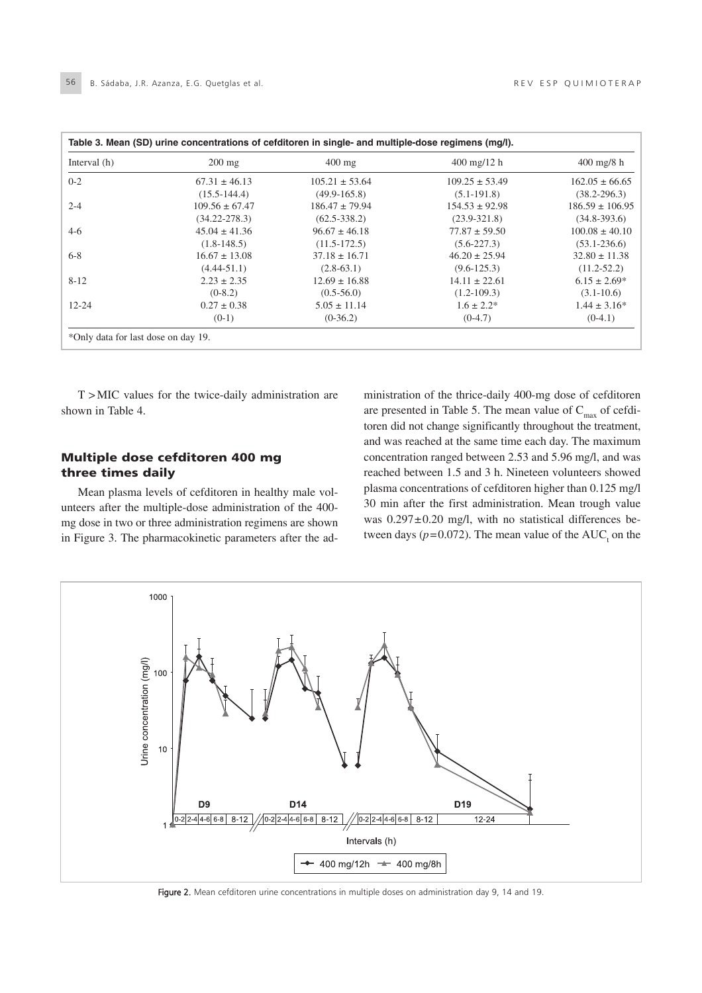| Table 3. Mean (SD) urine concentrations of cefditoren in single- and multiple-dose regimens (mg/l). |                    |                    |                               |                      |  |
|-----------------------------------------------------------------------------------------------------|--------------------|--------------------|-------------------------------|----------------------|--|
| Interval (h)                                                                                        | $200 \text{ mg}$   | $400$ mg           | $400 \text{ mg}/12 \text{ h}$ | $400 \text{ mg/s}$ h |  |
| $0 - 2$                                                                                             | $67.31 \pm 46.13$  | $105.21 \pm 53.64$ | $109.25 \pm 53.49$            | $162.05 \pm 66.65$   |  |
|                                                                                                     | $(15.5 - 144.4)$   | $(49.9 - 165.8)$   | $(5.1-191.8)$                 | $(38.2 - 296.3)$     |  |
| $2 - 4$                                                                                             | $109.56 \pm 67.47$ | $186.47 \pm 79.94$ | $154.53 \pm 92.98$            | $186.59 \pm 106.95$  |  |
|                                                                                                     | $(34.22 - 278.3)$  | $(62.5 - 338.2)$   | $(23.9 - 321.8)$              | $(34.8 - 393.6)$     |  |
| $4-6$                                                                                               | $45.04 \pm 41.36$  | $96.67 \pm 46.18$  | $77.87 \pm 59.50$             | $100.08 \pm 40.10$   |  |
|                                                                                                     | $(1.8-148.5)$      | $(11.5-172.5)$     | $(5.6-227.3)$                 | $(53.1 - 236.6)$     |  |
| $6 - 8$                                                                                             | $16.67 \pm 13.08$  | $37.18 \pm 16.71$  | $46.20 \pm 25.94$             | $32.80 \pm 11.38$    |  |
|                                                                                                     | $(4.44 - 51.1)$    | $(2.8-63.1)$       | $(9.6 - 125.3)$               | $(11.2 - 52.2)$      |  |
| $8 - 12$                                                                                            | $2.23 \pm 2.35$    | $12.69 \pm 16.88$  | $14.11 \pm 22.61$             | $6.15 \pm 2.69^*$    |  |
|                                                                                                     | $(0-8.2)$          | $(0.5 - 56.0)$     | $(1.2 - 109.3)$               | $(3.1 - 10.6)$       |  |
| $12 - 24$                                                                                           | $0.27 \pm 0.38$    | $5.05 \pm 11.14$   | $1.6 \pm 2.2^*$               | $1.44 \pm 3.16^*$    |  |
|                                                                                                     | $(0-1)$            | $(0-36.2)$         | $(0-4.7)$                     | $(0-4.1)$            |  |

T > MIC values for the twice-daily administration are shown in Table 4.

#### Multiple dose cefditoren 400 mg three times daily

Mean plasma levels of cefditoren in healthy male volunteers after the multiple-dose administration of the 400 mg dose in two or three administration regimens are shown in Figure 3. The pharmacokinetic parameters after the administration of the thrice-daily 400-mg dose of cefditoren are presented in Table 5. The mean value of  $C_{\text{max}}$  of cefditoren did not change significantly throughout the treatment, and was reached at the same time each day. The maximum concentration ranged between 2.53 and 5.96 mg/l, and was reached between 1.5 and 3 h. Nineteen volunteers showed plasma concentrations of cefditoren higher than 0.125 mg/l 30 min after the first administration. Mean trough value was  $0.297 \pm 0.20$  mg/l, with no statistical differences between days ( $p=0.072$ ). The mean value of the AUC<sub>t</sub> on the



Figure 2. Mean cefditoren urine concentrations in multiple doses on administration day 9, 14 and 19.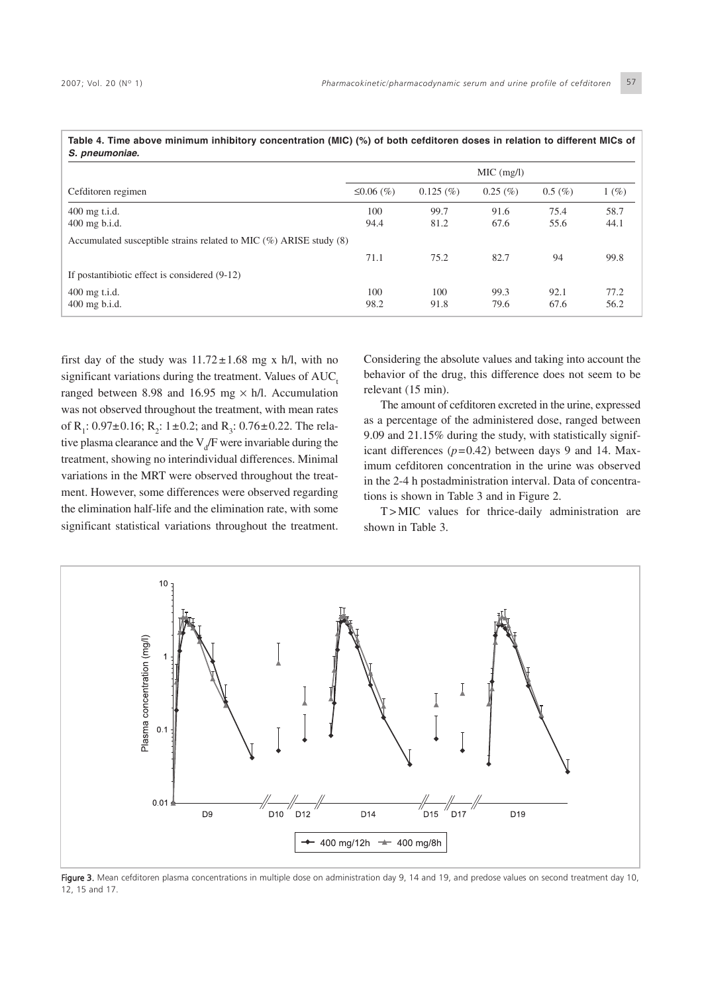| S. pneumoniae.                                                          |              |          |             |            |      |
|-------------------------------------------------------------------------|--------------|----------|-------------|------------|------|
|                                                                         |              |          | MIC (mg/l)  |            |      |
| Cefditoren regimen                                                      | ≤0.06 $(\%)$ | 0.125(%) | $0.25~(\%)$ | $0.5~(\%)$ | 1(%) |
| 400 mg t.i.d.                                                           | 100          | 99.7     | 91.6        | 75.4       | 58.7 |
| $400$ mg b.i.d.                                                         | 94.4         | 81.2     | 67.6        | 55.6       | 44.1 |
| Accumulated susceptible strains related to MIC $(\%)$ ARISE study $(8)$ |              |          |             |            |      |
|                                                                         | 71.1         | 75.2     | 82.7        | 94         | 99.8 |
| If postantibiotic effect is considered (9-12)                           |              |          |             |            |      |
| $400$ mg t.i.d.                                                         | 100          | 100      | 99.3        | 92.1       | 77.2 |
| $400$ mg b.i.d.                                                         | 98.2         | 91.8     | 79.6        | 67.6       | 56.2 |

**Table 4. Time above minimum inhibitory concentration (MIC) (%) of both cefditoren doses in relation to different MICs of**

first day of the study was  $11.72 \pm 1.68$  mg x h/l, with no significant variations during the treatment. Values of  $AUC<sub>t</sub>$ ranged between 8.98 and 16.95 mg  $\times$  h/l. Accumulation was not observed throughout the treatment, with mean rates of R<sub>1</sub>:  $0.97\pm0.16$ ; R<sub>2</sub>:  $1\pm0.2$ ; and R<sub>3</sub>:  $0.76\pm0.22$ . The relative plasma clearance and the  $V_d$ F were invariable during the treatment, showing no interindividual differences. Minimal variations in the MRT were observed throughout the treatment. However, some differences were observed regarding the elimination half-life and the elimination rate, with some significant statistical variations throughout the treatment. Considering the absolute values and taking into account the behavior of the drug, this difference does not seem to be relevant (15 min).

The amount of cefditoren excreted in the urine, expressed as a percentage of the administered dose, ranged between 9.09 and 21.15% during the study, with statistically significant differences (*p*=0.42) between days 9 and 14. Maximum cefditoren concentration in the urine was observed in the 2-4 h postadministration interval. Data of concentrations is shown in Table 3 and in Figure 2.

T > MIC values for thrice-daily administration are shown in Table 3.



Figure 3. Mean cefditoren plasma concentrations in multiple dose on administration day 9, 14 and 19, and predose values on second treatment day 10, 12, 15 and 17.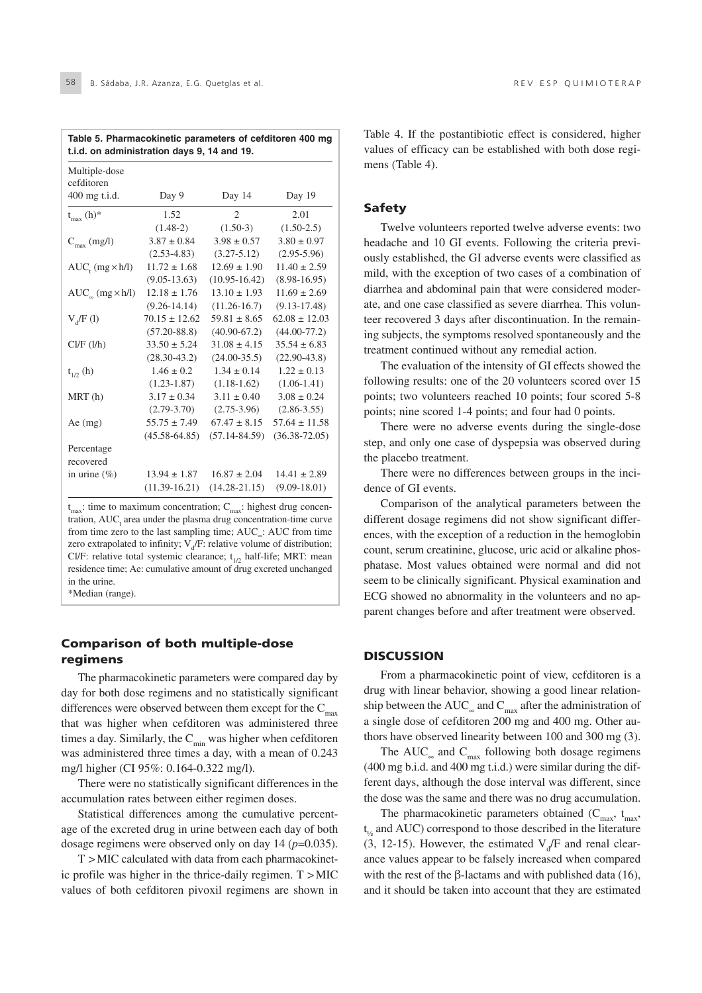| t.i.d. on administration days 9, 14 and 19. |                   |                   |                   |  |
|---------------------------------------------|-------------------|-------------------|-------------------|--|
| Multiple-dose<br>cefditoren                 |                   |                   |                   |  |
| 400 mg t.i.d.                               | Day 9             | Day 14            | Day 19            |  |
| $t_{max}$ (h)*                              | 1.52              | $\overline{c}$    | 2.01              |  |
|                                             | $(1.48-2)$        | $(1.50-3)$        | $(1.50-2.5)$      |  |
| $C_{\text{max}}$ (mg/l)                     | $3.87 \pm 0.84$   | $3.98 \pm 0.57$   | $3.80 \pm 0.97$   |  |
|                                             | $(2.53-4.83)$     | $(3.27 - 5.12)$   | $(2.95-5.96)$     |  |
| $AUC_{t} (mg \times h/l)$                   | $11.72 \pm 1.68$  | $12.69 \pm 1.90$  | $11.40 \pm 2.59$  |  |
|                                             | $(9.05 - 13.63)$  | $(10.95 - 16.42)$ | $(8.98 - 16.95)$  |  |
| $AUC_{\infty} (mg \times h/l)$              | $12.18 \pm 1.76$  | $13.10 \pm 1.93$  | $11.69 \pm 2.69$  |  |
|                                             | $(9.26 - 14.14)$  | $(11.26 - 16.7)$  | $(9.13 - 17.48)$  |  |
| $V_A/F(I)$                                  | $70.15 \pm 12.62$ | $59.81 \pm 8.65$  | $62.08 \pm 12.03$ |  |
|                                             | $(57.20 - 88.8)$  | $(40.90 - 67.2)$  | $(44.00 - 77.2)$  |  |
| Cl/F (l/h)                                  | $33.50 \pm 5.24$  | $31.08 \pm 4.15$  | $35.54 \pm 6.83$  |  |
|                                             | $(28.30 - 43.2)$  | $(24.00-35.5)$    | $(22.90-43.8)$    |  |
| $t_{1/2}$ (h)                               | $1.46 \pm 0.2$    | $1.34 \pm 0.14$   | $1.22 \pm 0.13$   |  |
|                                             | $(1.23 - 1.87)$   | $(1.18-1.62)$     | $(1.06-1.41)$     |  |
| MRT(h)                                      | $3.17 \pm 0.34$   | $3.11 \pm 0.40$   | $3.08 \pm 0.24$   |  |
|                                             | $(2.79 - 3.70)$   | $(2.75-3.96)$     | $(2.86 - 3.55)$   |  |
| Ae $(mg)$                                   | $55.75 \pm 7.49$  | $67.47 \pm 8.15$  | $57.64 \pm 11.58$ |  |
|                                             | $(45.58 - 64.85)$ | $(57.14 - 84.59)$ | $(36.38 - 72.05)$ |  |
| Percentage<br>recovered                     |                   |                   |                   |  |
| in urine $(\% )$                            | $13.94 \pm 1.87$  | $16.87 \pm 2.04$  | $14.41 \pm 2.89$  |  |
|                                             | $(11.39-16.21)$   | $(14.28 - 21.15)$ | $(9.09 - 18.01)$  |  |

**Table 5. Pharmacokinetic parameters of cefditoren 400 mg**

 $t_{\text{max}}$ : time to maximum concentration;  $C_{\text{max}}$ : highest drug concentration,  $AUC<sub>t</sub>$  area under the plasma drug concentration-time curve from time zero to the last sampling time; AUC∞: AUC from time zero extrapolated to infinity;  $V_d$ F: relative volume of distribution; Cl/F: relative total systemic clearance;  $t_{1/2}$  half-life; MRT: mean residence time; Ae: cumulative amount of drug excreted unchanged in the urine.

\*Median (range).

#### Comparison of both multiple-dose regimens

The pharmacokinetic parameters were compared day by day for both dose regimens and no statistically significant differences were observed between them except for the  $C_{\text{max}}$ that was higher when cefditoren was administered three times a day. Similarly, the  $C_{\text{min}}$  was higher when cefditoren was administered three times a day, with a mean of 0.243 mg/l higher (CI 95%: 0.164-0.322 mg/l).

There were no statistically significant differences in the accumulation rates between either regimen doses.

Statistical differences among the cumulative percentage of the excreted drug in urine between each day of both dosage regimens were observed only on day 14 (*p*=0.035).

T > MIC calculated with data from each pharmacokinetic profile was higher in the thrice-daily regimen. T > MIC values of both cefditoren pivoxil regimens are shown in Table 4. If the postantibiotic effect is considered, higher values of efficacy can be established with both dose regimens (Table 4).

#### Safety

Twelve volunteers reported twelve adverse events: two headache and 10 GI events. Following the criteria previously established, the GI adverse events were classified as mild, with the exception of two cases of a combination of diarrhea and abdominal pain that were considered moderate, and one case classified as severe diarrhea. This volunteer recovered 3 days after discontinuation. In the remaining subjects, the symptoms resolved spontaneously and the treatment continued without any remedial action.

The evaluation of the intensity of GI effects showed the following results: one of the 20 volunteers scored over 15 points; two volunteers reached 10 points; four scored 5-8 points; nine scored 1-4 points; and four had 0 points.

There were no adverse events during the single-dose step, and only one case of dyspepsia was observed during the placebo treatment.

There were no differences between groups in the incidence of GI events.

Comparison of the analytical parameters between the different dosage regimens did not show significant differences, with the exception of a reduction in the hemoglobin count, serum creatinine, glucose, uric acid or alkaline phosphatase. Most values obtained were normal and did not seem to be clinically significant. Physical examination and ECG showed no abnormality in the volunteers and no apparent changes before and after treatment were observed.

#### **DISCUSSION**

From a pharmacokinetic point of view, cefditoren is a drug with linear behavior, showing a good linear relationship between the AUC<sub>∞</sub> and C<sub>max</sub> after the administration of a single dose of cefditoren 200 mg and 400 mg. Other authors have observed linearity between 100 and 300 mg (3).

The AUC<sub>∞</sub> and C<sub>max</sub> following both dosage regimens (400 mg b.i.d. and 400 mg t.i.d.) were similar during the different days, although the dose interval was different, since the dose was the same and there was no drug accumulation.

The pharmacokinetic parameters obtained  $(C_{\text{max}}, t_{\text{max}})$ t <sup>½</sup> and AUC) correspond to those described in the literature (3, 12-15). However, the estimated  $V<sub>d</sub>/F$  and renal clearance values appear to be falsely increased when compared with the rest of the β-lactams and with published data  $(16)$ , and it should be taken into account that they are estimated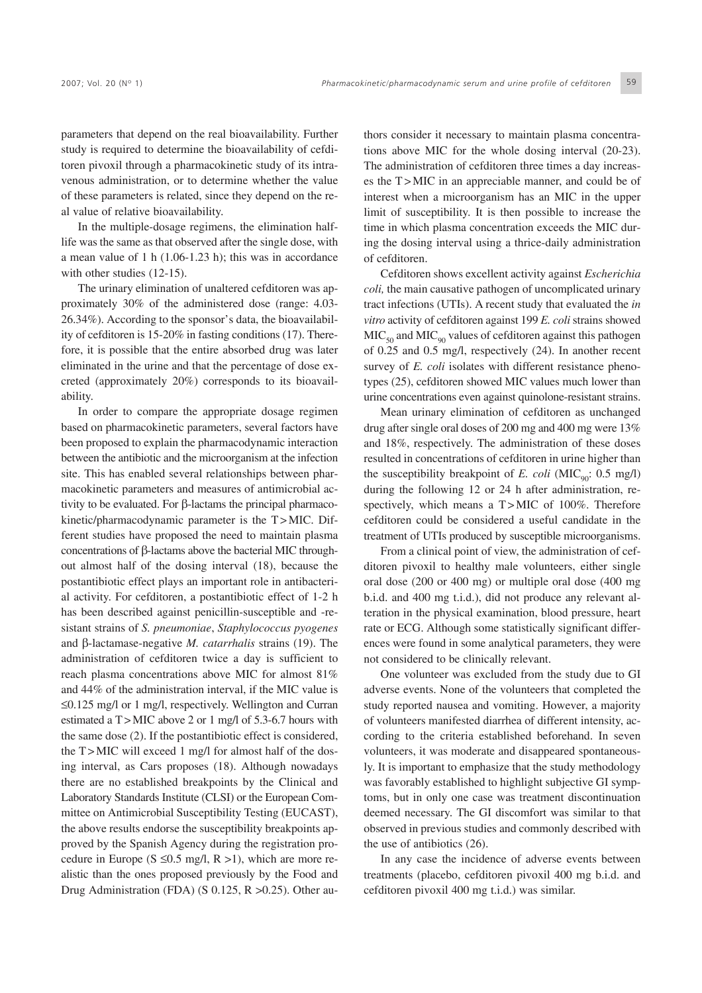parameters that depend on the real bioavailability. Further study is required to determine the bioavailability of cefditoren pivoxil through a pharmacokinetic study of its intravenous administration, or to determine whether the value of these parameters is related, since they depend on the real value of relative bioavailability.

In the multiple-dosage regimens, the elimination halflife was the same as that observed after the single dose, with a mean value of 1 h (1.06-1.23 h); this was in accordance with other studies (12-15).

The urinary elimination of unaltered cefditoren was approximately 30% of the administered dose (range: 4.03- 26.34%). According to the sponsor's data, the bioavailability of cefditoren is 15-20% in fasting conditions (17). Therefore, it is possible that the entire absorbed drug was later eliminated in the urine and that the percentage of dose excreted (approximately 20%) corresponds to its bioavailability.

In order to compare the appropriate dosage regimen based on pharmacokinetic parameters, several factors have been proposed to explain the pharmacodynamic interaction between the antibiotic and the microorganism at the infection site. This has enabled several relationships between pharmacokinetic parameters and measures of antimicrobial activity to be evaluated. For β-lactams the principal pharmacokinetic/pharmacodynamic parameter is the T > MIC. Different studies have proposed the need to maintain plasma concentrations of β-lactams above the bacterial MIC throughout almost half of the dosing interval (18), because the postantibiotic effect plays an important role in antibacterial activity. For cefditoren, a postantibiotic effect of 1-2 h has been described against penicillin-susceptible and -resistant strains of *S. pneumoniae*, *Staphylococcus pyogenes* and β-lactamase-negative *M. catarrhalis* strains (19). The administration of cefditoren twice a day is sufficient to reach plasma concentrations above MIC for almost 81% and 44% of the administration interval, if the MIC value is ≤0.125 mg/l or 1 mg/l, respectively. Wellington and Curran estimated a  $T > MIC$  above 2 or 1 mg/l of 5.3-6.7 hours with the same dose (2). If the postantibiotic effect is considered, the  $T > MIC$  will exceed 1 mg/l for almost half of the dosing interval, as Cars proposes (18). Although nowadays there are no established breakpoints by the Clinical and Laboratory Standards Institute (CLSI) or the European Committee on Antimicrobial Susceptibility Testing (EUCAST), the above results endorse the susceptibility breakpoints approved by the Spanish Agency during the registration procedure in Europe (S  $\leq 0.5$  mg/l, R  $>$ 1), which are more realistic than the ones proposed previously by the Food and Drug Administration (FDA) (S 0.125, R >0.25). Other au-

thors consider it necessary to maintain plasma concentrations above MIC for the whole dosing interval (20-23). The administration of cefditoren three times a day increases the T > MIC in an appreciable manner, and could be of interest when a microorganism has an MIC in the upper limit of susceptibility. It is then possible to increase the time in which plasma concentration exceeds the MIC during the dosing interval using a thrice-daily administration of cefditoren.

Cefditoren shows excellent activity against *Escherichia coli,* the main causative pathogen of uncomplicated urinary tract infections (UTIs). A recent study that evaluated the *in vitro* activity of cefditoren against 199 *E. coli* strains showed  $MIC<sub>50</sub>$  and  $MIC<sub>90</sub>$  values of cefditoren against this pathogen of 0.25 and 0.5 mg/l, respectively (24). In another recent survey of *E. coli* isolates with different resistance phenotypes (25), cefditoren showed MIC values much lower than urine concentrations even against quinolone-resistant strains.

Mean urinary elimination of cefditoren as unchanged drug after single oral doses of 200 mg and 400 mg were 13% and 18%, respectively. The administration of these doses resulted in concentrations of cefditoren in urine higher than the susceptibility breakpoint of *E. coli* (MIC<sub>00</sub>: 0.5 mg/l) during the following 12 or 24 h after administration, respectively, which means a  $T >$ MIC of 100%. Therefore cefditoren could be considered a useful candidate in the treatment of UTIs produced by susceptible microorganisms.

From a clinical point of view, the administration of cefditoren pivoxil to healthy male volunteers, either single oral dose (200 or 400 mg) or multiple oral dose (400 mg b.i.d. and 400 mg t.i.d.), did not produce any relevant alteration in the physical examination, blood pressure, heart rate or ECG. Although some statistically significant differences were found in some analytical parameters, they were not considered to be clinically relevant.

One volunteer was excluded from the study due to GI adverse events. None of the volunteers that completed the study reported nausea and vomiting. However, a majority of volunteers manifested diarrhea of different intensity, according to the criteria established beforehand. In seven volunteers, it was moderate and disappeared spontaneously. It is important to emphasize that the study methodology was favorably established to highlight subjective GI symptoms, but in only one case was treatment discontinuation deemed necessary. The GI discomfort was similar to that observed in previous studies and commonly described with the use of antibiotics (26).

In any case the incidence of adverse events between treatments (placebo, cefditoren pivoxil 400 mg b.i.d. and cefditoren pivoxil 400 mg t.i.d.) was similar.